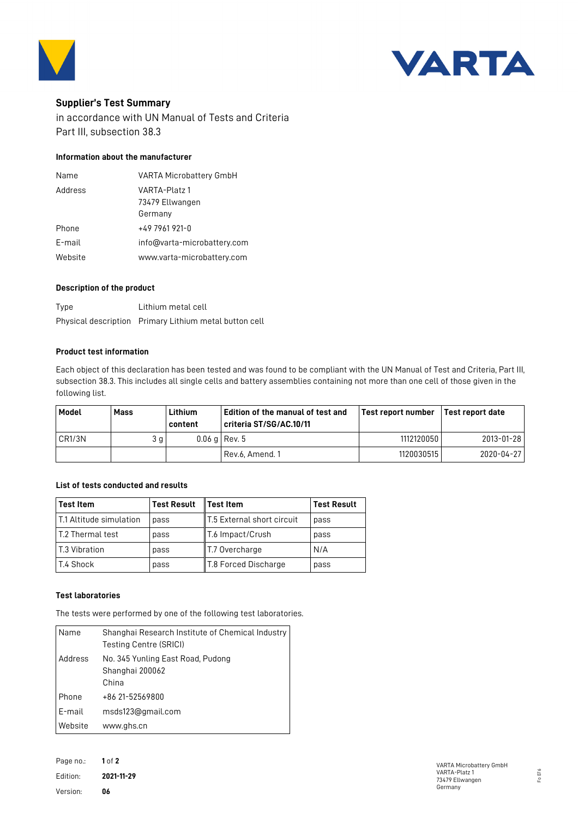



# **Supplier's Test Summary**

in accordance with UN Manual of Tests and Criteria Part III, subsection 38.3

## **Information about the manufacturer**

| Name    | <b>VARTA Microbattery GmbH</b>   |
|---------|----------------------------------|
| Address | VARTA-Platz 1<br>73479 Ellwangen |
|         | Germany                          |
| Phone   | +49 7961 921-0                   |
| E-mail  | info@varta-microbattery.com      |
| Website | www.varta-microbattery.com       |

### **Description of the product**

| Type | Lithium metal cell                                     |
|------|--------------------------------------------------------|
|      | Physical description Primary Lithium metal button cell |

#### **Product test information**

Each object of this declaration has been tested and was found to be compliant with the UN Manual of Test and Criteria, Part III, subsection 38.3. This includes all single cells and battery assemblies containing not more than one cell of those given in the following list.

| Model  | Mass | Lithium<br>content | l Edition of the manual of test and<br>criteria ST/SG/AC.10/11 | Test report number | l Test report date |
|--------|------|--------------------|----------------------------------------------------------------|--------------------|--------------------|
| CR1/3N | 3 g  |                    | $0.06$ g Rev. 5                                                | 1112120050         | 2013-01-28         |
|        |      |                    | Rev.6, Amend. 1                                                | 1120030515         | 2020-04-271        |

## **List of tests conducted and results**

| <b>Test Item</b>          | <b>Test Result</b> | <b>Test Item</b>           | <b>Test Result</b> |
|---------------------------|--------------------|----------------------------|--------------------|
| l T.1 Altitude simulation | pass               | T.5 External short circuit | pass               |
| l T.2 Thermal test        | pass               | T.6 Impact/Crush           | pass               |
| T.3 Vibration             | pass               | T.7 Overcharge             | N/A                |
| T.4 Shock                 | pass               | T.8 Forced Discharge       | pass               |

### **Test laboratories**

The tests were performed by one of the following test laboratories.

| Name    | Shanghai Research Institute of Chemical Industry<br>Testing Centre (SRICI) |
|---------|----------------------------------------------------------------------------|
| Address | No. 345 Yunling East Road, Pudong<br>Shanghai 200062<br>China              |
| Phone   | +86 21-52569800                                                            |
| E-mail  | msds123@gmail.com                                                          |
| Website | www.ghs.cn                                                                 |

Page no.: **1** of **2** Edition: **2021-11-29** Version: **06**